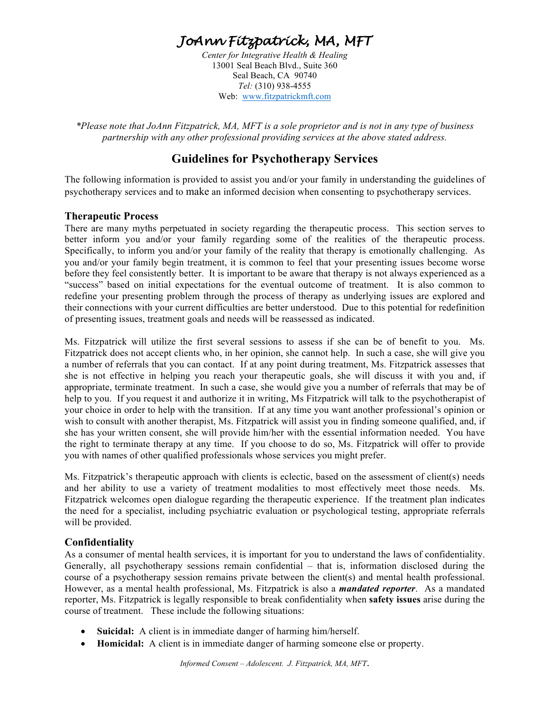# *JoAnn Fitzpatrick, MA, MFT*

*Center for Integrative Health & Healing* 13001 Seal Beach Blvd., Suite 360 Seal Beach, CA 90740 *Tel:* (310) 938-4555 Web: www.fitzpatrickmft.com

*\*Please note that JoAnn Fitzpatrick, MA, MFT is a sole proprietor and is not in any type of business partnership with any other professional providing services at the above stated address.* 

# **Guidelines for Psychotherapy Services**

The following information is provided to assist you and/or your family in understanding the guidelines of psychotherapy services and to make an informed decision when consenting to psychotherapy services.

#### **Therapeutic Process**

There are many myths perpetuated in society regarding the therapeutic process. This section serves to better inform you and/or your family regarding some of the realities of the therapeutic process. Specifically, to inform you and/or your family of the reality that therapy is emotionally challenging. As you and/or your family begin treatment, it is common to feel that your presenting issues become worse before they feel consistently better. It is important to be aware that therapy is not always experienced as a "success" based on initial expectations for the eventual outcome of treatment. It is also common to redefine your presenting problem through the process of therapy as underlying issues are explored and their connections with your current difficulties are better understood. Due to this potential for redefinition of presenting issues, treatment goals and needs will be reassessed as indicated.

Ms. Fitzpatrick will utilize the first several sessions to assess if she can be of benefit to you. Ms. Fitzpatrick does not accept clients who, in her opinion, she cannot help. In such a case, she will give you a number of referrals that you can contact. If at any point during treatment, Ms. Fitzpatrick assesses that she is not effective in helping you reach your therapeutic goals, she will discuss it with you and, if appropriate, terminate treatment. In such a case, she would give you a number of referrals that may be of help to you. If you request it and authorize it in writing, Ms Fitzpatrick will talk to the psychotherapist of your choice in order to help with the transition. If at any time you want another professional's opinion or wish to consult with another therapist, Ms. Fitzpatrick will assist you in finding someone qualified, and, if she has your written consent, she will provide him/her with the essential information needed. You have the right to terminate therapy at any time. If you choose to do so, Ms. Fitzpatrick will offer to provide you with names of other qualified professionals whose services you might prefer.

Ms. Fitzpatrick's therapeutic approach with clients is eclectic, based on the assessment of client(s) needs and her ability to use a variety of treatment modalities to most effectively meet those needs. Ms. Fitzpatrick welcomes open dialogue regarding the therapeutic experience. If the treatment plan indicates the need for a specialist, including psychiatric evaluation or psychological testing, appropriate referrals will be provided.

# **Confidentiality**

As a consumer of mental health services, it is important for you to understand the laws of confidentiality. Generally, all psychotherapy sessions remain confidential – that is, information disclosed during the course of a psychotherapy session remains private between the client(s) and mental health professional. However, as a mental health professional, Ms. Fitzpatrick is also a *mandated reporter*. As a mandated reporter, Ms. Fitzpatrick is legally responsible to break confidentiality when **safety issues** arise during the course of treatment. These include the following situations:

- **Suicidal:** A client is in immediate danger of harming him/herself.
- **Homicidal:** A client is in immediate danger of harming someone else or property.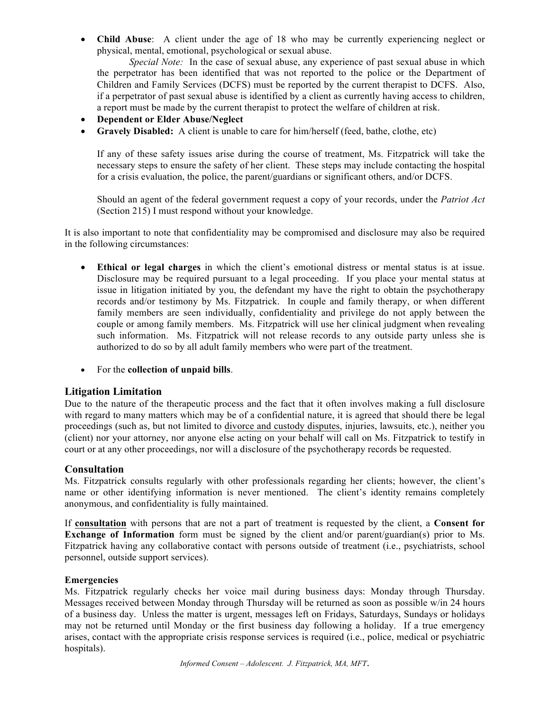• **Child Abuse**: A client under the age of 18 who may be currently experiencing neglect or physical, mental, emotional, psychological or sexual abuse.

*Special Note:* In the case of sexual abuse, any experience of past sexual abuse in which the perpetrator has been identified that was not reported to the police or the Department of Children and Family Services (DCFS) must be reported by the current therapist to DCFS. Also, if a perpetrator of past sexual abuse is identified by a client as currently having access to children, a report must be made by the current therapist to protect the welfare of children at risk.

- **Dependent or Elder Abuse/Neglect**
- **Gravely Disabled:** A client is unable to care for him/herself (feed, bathe, clothe, etc)

If any of these safety issues arise during the course of treatment, Ms. Fitzpatrick will take the necessary steps to ensure the safety of her client. These steps may include contacting the hospital for a crisis evaluation, the police, the parent/guardians or significant others, and/or DCFS.

Should an agent of the federal government request a copy of your records, under the *Patriot Act* (Section 215) I must respond without your knowledge.

It is also important to note that confidentiality may be compromised and disclosure may also be required in the following circumstances:

- **Ethical or legal charges** in which the client's emotional distress or mental status is at issue. Disclosure may be required pursuant to a legal proceeding. If you place your mental status at issue in litigation initiated by you, the defendant my have the right to obtain the psychotherapy records and/or testimony by Ms. Fitzpatrick. In couple and family therapy, or when different family members are seen individually, confidentiality and privilege do not apply between the couple or among family members. Ms. Fitzpatrick will use her clinical judgment when revealing such information. Ms. Fitzpatrick will not release records to any outside party unless she is authorized to do so by all adult family members who were part of the treatment.
- For the **collection of unpaid bills**.

#### **Litigation Limitation**

Due to the nature of the therapeutic process and the fact that it often involves making a full disclosure with regard to many matters which may be of a confidential nature, it is agreed that should there be legal proceedings (such as, but not limited to divorce and custody disputes, injuries, lawsuits, etc.), neither you (client) nor your attorney, nor anyone else acting on your behalf will call on Ms. Fitzpatrick to testify in court or at any other proceedings, nor will a disclosure of the psychotherapy records be requested.

#### **Consultation**

Ms. Fitzpatrick consults regularly with other professionals regarding her clients; however, the client's name or other identifying information is never mentioned. The client's identity remains completely anonymous, and confidentiality is fully maintained.

If **consultation** with persons that are not a part of treatment is requested by the client, a **Consent for Exchange of Information** form must be signed by the client and/or parent/guardian(s) prior to Ms. Fitzpatrick having any collaborative contact with persons outside of treatment (i.e., psychiatrists, school personnel, outside support services).

#### **Emergencies**

Ms. Fitzpatrick regularly checks her voice mail during business days: Monday through Thursday. Messages received between Monday through Thursday will be returned as soon as possible w/in 24 hours of a business day. Unless the matter is urgent, messages left on Fridays, Saturdays, Sundays or holidays may not be returned until Monday or the first business day following a holiday. If a true emergency arises, contact with the appropriate crisis response services is required (i.e., police, medical or psychiatric hospitals).